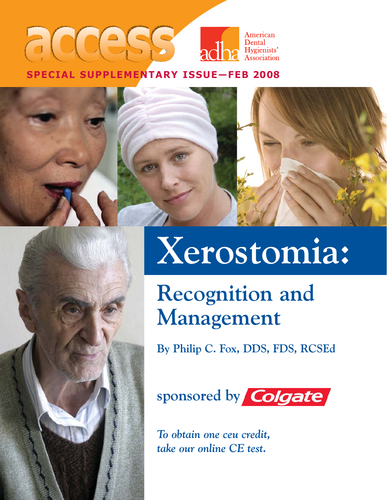### **American** Dental acha Hygienists' **SPECIAL SUPPLEMENTARY ISSUE—FEB 2008**

# **Xerostomia:**

## **Recognition and Management**

**By Philip C. Fox, DDS, FDS, RCSEd**

sponsored by **Colgate** 

*To obtain one ceu credit, take our online CE test.*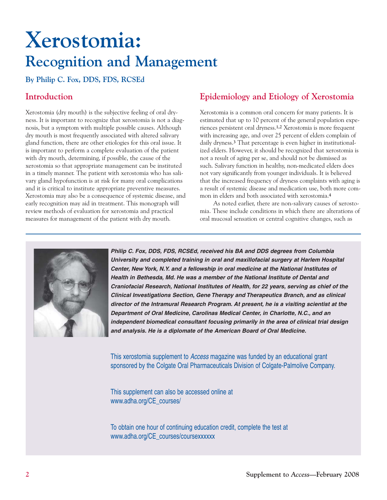## **Xerostomia: Recognition and Management**

**By Philip C. Fox, DDS, FDS, RCSEd**

#### **Introduction**

Xerostomia (dry mouth) is the subjective feeling of oral dryness. It is important to recognize that xerostomia is not a diagnosis, but a symptom with multiple possible causes. Although dry mouth is most frequently associated with altered salivary gland function, there are other etiologies for this oral issue. It is important to perform a complete evaluation of the patient with dry mouth, determining, if possible, the cause of the xerostomia so that appropriate management can be instituted in a timely manner. The patient with xerostomia who has salivary gland hypofunction is at risk for many oral complications and it is critical to institute appropriate preventive measures. Xerostomia may also be a consequence of systemic disease, and early recognition may aid in treatment. This monograph will review methods of evaluation for xerostomia and practical measures for management of the patient with dry mouth.

#### **Epidemiology and Etiology of Xerostomia**

Xerostomia is a common oral concern for many patients. It is estimated that up to 10 percent of the general population experiences persistent oral dryness.**1,2** Xerostomia is more frequent with increasing age, and over 25 percent of elders complain of daily dryness.**<sup>3</sup>** That percentage is even higher in institutionalized elders. However, it should be recognized that xerostomia is not a result of aging per se, and should not be dismissed as such. Salivary function in healthy, non-medicated elders does not vary significantly from younger individuals. It is believed that the increased frequency of dryness complaints with aging is a result of systemic disease and medication use, both more common in elders and both associated with xerostomia.**<sup>4</sup>**

As noted earlier, there are non-salivary causes of xerostomia. These include conditions in which there are alterations of oral mucosal sensation or central cognitive changes, such as



**Philip C. Fox, DDS, FDS, RCSEd, received his BA and DDS degrees from Columbia University and completed training in oral and maxillofacial surgery at Harlem Hospital Center, New York, N.Y. and a fellowship in oral medicine at the National Institutes of Health in Bethesda, Md. He was a member of the National Institute of Dental and Craniofacial Research, National Institutes of Health, for 22 years, serving as chief of the Clinical Investigations Section, Gene Therapy and Therapeutics Branch, and as clinical director of the Intramural Research Program. At present, he is a visiting scientist at the Department of Oral Medicine, Carolinas Medical Center, in Charlotte, N.C., and an independent biomedical consultant focusing primarily in the area of clinical trial design and analysis. He is a diplomate of the American Board of Oral Medicine.**

This xerostomia supplement to *Access* magazine was funded by an educational grant sponsored by the Colgate Oral Pharmaceuticals Division of Colgate-Palmolive Company.

This supplement can also be accessed online at www.adha.org/CE\_courses/

To obtain one hour of continuing education credit, complete the test at www.adha.org/CE\_courses/coursexxxxxx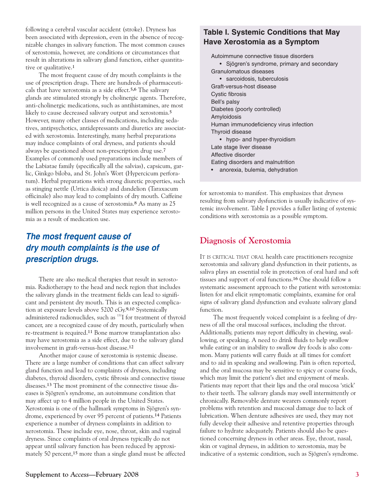following a cerebral vascular accident (stroke). Dryness has been associated with depression, even in the absence of recognizable changes in salivary function. The most common causes of xerostomia, however, are conditions or circumstances that result in alterations in salivary gland function, either quantitative or qualitative.**<sup>1</sup>**

The most frequent cause of dry mouth complaints is the use of prescription drugs. There are hundreds of pharmaceuticals that have xerostomia as a side effect.**5,6** The salivary glands are stimulated strongly by cholinergic agents. Therefore, anti-cholinergic medications, such as antihistamines, are most likely to cause decreased salivary output and xerostomia.**<sup>5</sup>** However, many other classes of medications, including sedatives, antipsychotics, antidepressants and diuretics are associated with xerostomia. Interestingly, many herbal preparations may induce complaints of oral dryness, and patients should always be questioned about non-prescription drug use.**<sup>7</sup>** Examples of commonly used preparations include members of the Labiatae family (specifically all the salvias), capsicum, garlic, Ginkgo biloba, and St. John's Wort (Hypercicum perforatum). Herbal preparations with strong diuretic properties, such as stinging nettle (Urtica dioica) and dandelion (Taraxacum officinale) also may lead to complaints of dry mouth. Caffeine is well recognized as a cause of xerostomia.**<sup>8</sup>** As many as 25 million persons in the United States may experience xerostomia as a result of medication use.

#### **The most frequent cause of dry mouth complaints is the use of prescription drugs.**

There are also medical therapies that result in xerostomia. Radiotherapy to the head and neck region that includes the salivary glands in the treatment fields can lead to significant and persistent dry mouth. This is an expected complication at exposure levels above 5200 cGy.**9,10** Systemically administered radionuclides, such as <sup>131</sup>I for treatment of thyroid cancer, are a recognized cause of dry mouth, particularly when re-treatment is required.**<sup>11</sup>** Bone marrow transplantation also may have xerostomia as a side effect, due to the salivary gland involvement in graft-versus-host disease.**<sup>12</sup>**

Another major cause of xerostomia is systemic disease. There are a large number of conditions that can affect salivary gland function and lead to complaints of dryness, including diabetes, thyroid disorders, cystic fibrosis and connective tissue diseases.**<sup>13</sup>** The most prominent of the connective tissue diseases is Sjögren's syndrome, an autoimmune condition that may affect up to 4 million people in the United States. Xerostomia is one of the hallmark symptoms in Sjögren's syndrome, experienced by over 95 percent of patients.**<sup>14</sup>** Patients experience a number of dryness complaints in addition to xerostomia. These include eye, nose, throat, skin and vaginal dryness. Since complaints of oral dryness typically do not appear until salivary function has been reduced by approximately 50 percent,**<sup>15</sup>** more than a single gland must be affected

#### **Table I. Systemic Conditions that May Have Xerostomia as a Symptom**

Autoimmune connective tissue disorders • Sjögren's syndrome, primary and secondary Granulomatous diseases • sarcoidosis, tuberculosis Graft-versus-host disease Cystic fibrosis Bell's palsy Diabetes (poorly controlled) Amyloidosis Human immunodeficiency virus infection Thyroid disease • hypo- and hyper-thyroidism Late stage liver disease Affective disorder Eating disorders and malnutrition anorexia, bulemia, dehydration

for xerostomia to manifest. This emphasizes that dryness resulting from salivary dysfunction is usually indicative of systemic involvement. Table I provides a fuller listing of systemic conditions with xerostomia as a possible symptom.

#### **Diagnosis of Xerostomia**

IT IS CRITICAL THAT ORAL health care practitioners recognize xerostomia and salivary gland dysfunction in their patients, as saliva plays an essential role in protection of oral hard and soft tissues and support of oral functions.**<sup>16</sup>** One should follow a systematic assessment approach to the patient with xerostomia: listen for and elicit symptomatic complaints, examine for oral signs of salivary gland dysfunction and evaluate salivary gland function.

The most frequently voiced complaint is a feeling of dryness of all the oral mucosal surfaces, including the throat. Additionally, patients may report difficulty in chewing, swallowing, or speaking. A need to drink fluids to help swallow while eating or an inability to swallow dry foods is also common. Many patients will carry fluids at all times for comfort and to aid in speaking and swallowing. Pain is often reported, and the oral mucosa may be sensitive to spicy or coarse foods, which may limit the patient's diet and enjoyment of meals. Patients may report that their lips and the oral mucosa 'stick' to their teeth. The salivary glands may swell intermittently or chronically. Removable denture wearers commonly report problems with retention and mucosal damage due to lack of lubrication. When denture adhesives are used, they may not fully develop their adhesive and retentive properties through failure to hydrate adequately. Patients should also be questioned concerning dryness in other areas. Eye, throat, nasal, skin or vaginal dryness, in addition to xerostomia, may be indicative of a systemic condition, such as Sjögren's syndrome.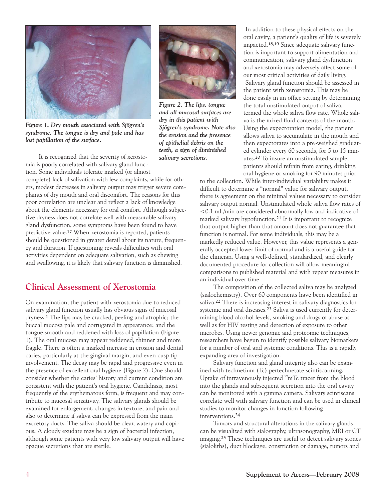

*Figure 1. Dry mouth associated with Sjögren's syndrome. The tongue is dry and pale and has lost papillation of the surface.*

It is recognized that the severity of xerostomia is poorly correlated with salivary gland function. Some individuals tolerate marked (or almost complete) lack of salivation with few complaints, while for others, modest decreases in salivary output may trigger severe complaints of dry mouth and oral discomfort. The reasons for this poor correlation are unclear and reflect a lack of knowledge about the elements necessary for oral comfort. Although subjective dryness does not correlate well with measurable salivary gland dysfunction, some symptoms have been found to have predictive value.**<sup>17</sup>** When xerostomia is reported, patients should be questioned in greater detail about its nature, frequency and duration. If questioning reveals difficulties with oral activities dependent on adequate salivation, such as chewing and swallowing, it is likely that salivary function is diminished.

#### **Clinical Assessment of Xerostomia**

On examination, the patient with xerostomia due to reduced salivary gland function usually has obvious signs of mucosal dryness.**<sup>1</sup>** The lips may be cracked, peeling and atrophic; the buccal mucosa pale and corrugated in appearance; and the tongue smooth and reddened with loss of papillation (Figure 1). The oral mucosa may appear reddened, thinner and more fragile. There is often a marked increase in erosion and dental caries, particularly at the gingival margin, and even cusp tip involvement. The decay may be rapid and progressive even in the presence of excellent oral hygiene (Figure 2). One should consider whether the caries' history and current condition are consistent with the patient's oral hygiene. Candidiasis, most frequently of the erythematous form, is frequent and may contribute to mucosal sensitivity. The salivary glands should be examined for enlargement, changes in texture, and pain and also to determine if saliva can be expressed from the main excretory ducts. The saliva should be clear, watery and copious. A cloudy exudate may be a sign of bacterial infection, although some patients with very low salivary output will have opaque secretions that are sterile.



*Figure 2. The lips, tongue and all mucosal surfaces are dry in this patient with Sjögren's syndrome. Note also the erosion and the presence of epithelial debris on the teeth, a sign of diminished salivary secretions.* 

In addition to these physical effects on the oral cavity, a patient's quality of life is severely impacted.**18,19** Since adequate salivary function is important to support alimentation and communication, salivary gland dysfunction and xerostomia may adversely affect some of our most critical activities of daily living. Salivary gland function should be assessed in the patient with xerostomia. This may be done easily in an office setting by determining the total unstimulated output of saliva, termed the whole saliva flow rate. Whole saliva is the mixed fluid contents of the mouth. Using the expectoration model, the patient allows saliva to accumulate in the mouth and then expectorates into a pre-weighed graduated cylinder every 60 seconds, for 5 to 15 minutes.**<sup>20</sup>** To insure an unstimulated sample, patients should refrain from eating, drinking, oral hygiene or smoking for 90 minutes prior

to the collection. While inter-individual variability makes it difficult to determine a "normal" value for salivary output, there is agreement on the minimal values necessary to consider salivary output normal. Unstimulated whole saliva flow rates of <0.1 mL/min are considered abnormally low and indicative of marked salivary hypofunction.**<sup>21</sup>** It is important to recognize that output higher than that amount does not guarantee that function is normal. For some individuals, this may be a markedly reduced value. However, this value represents a generally accepted lower limit of normal and is a useful guide for the clinician. Using a well-defined, standardized, and clearly documented procedure for collection will allow meaningful comparisons to published material and with repeat measures in an individual over time.

The composition of the collected saliva may be analyzed (sialochemistry). Over 60 components have been identified in saliva.**<sup>22</sup>** There is increasing interest in salivary diagnostics for systemic and oral diseases.**<sup>23</sup>** Saliva is used currently for determining blood alcohol levels, smoking and drugs of abuse as well as for HIV testing and detection of exposure to other microbes. Using newer genomic and proteomic techniques, researchers have begun to identify possible salivary biomarkers for a number of oral and systemic conditions. This is a rapidly expanding area of investigation.

Salivary function and gland integrity also can be examined with technetium (Tc) pertechnetate scintiscanning. Uptake of intravenously injected <sup>99</sup>mTc tracer from the blood into the glands and subsequent secretion into the oral cavity can be monitored with a gamma camera. Salivary scintiscans correlate well with salivary function and can be used in clinical studies to monitor changes in function following interventions.**<sup>24</sup>**

Tumors and structural alterations in the salivary glands can be visualized with sialography, ultrasonography, MRI or CT imaging.**<sup>25</sup>** These techniques are useful to detect salivary stones (sialoliths), duct blockage, constriction or damage, tumors and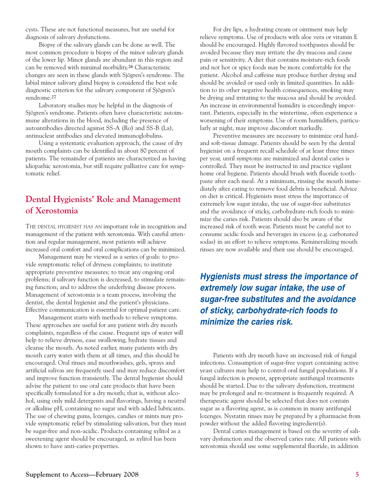cysts. These are not functional measures, but are useful for diagnosis of salivary dysfunctions.

Biopsy of the salivary glands can be done as well. The most common procedure is biopsy of the minor salivary glands of the lower lip. Minor glands are abundant in this region and can be removed with minimal morbidity.**<sup>26</sup>** Characteristic changes are seen in these glands with Sjögren's syndrome. The labial minor salivary gland biopsy is considered the best sole diagnostic criterion for the salivary component of Sjögren's syndrome.**<sup>27</sup>**

Laboratory studies may be helpful in the diagnosis of Sjögren's syndrome. Patients often have characteristic autoimmune alterations in the blood, including the presence of autoantibodies directed against SS-A (Ro) and SS-B (La), antinuclear antibodies and elevated immunoglobulins.

Using a systematic evaluation approach, the cause of dry mouth complaints can be identified in about 80 percent of patients. The remainder of patients are characterized as having idiopathic xerostomia, but still require palliative care for symptomatic relief.

#### **Dental Hygienists' Role and Management of Xerostomia**

THE DENTAL HYGIENIST HAS AN important role in recognition and management of the patient with xerostomia. With careful attention and regular management, most patients will achieve increased oral comfort and oral complications can be minimized.

Management may be viewed as a series of goals: to provide symptomatic relief of dryness complaints; to institute appropriate preventive measures; to treat any ongoing oral problems; if salivary function is decreased, to stimulate remaining function; and to address the underlying disease process. Management of xerostomia is a team process, involving the dentist, the dental hygienist and the patient's physicians. Effective communication is essential for optimal patient care.

Management starts with methods to relieve symptoms. These approaches are useful for any patient with dry mouth complaints, regardless of the cause. Frequent sips of water will help to relieve dryness, ease swallowing, hydrate tissues and cleanse the mouth. As noted earlier, many patients with dry mouth carry water with them at all times, and this should be encouraged. Oral rinses and mouthwashes, gels, sprays and artificial salivas are frequently used and may reduce discomfort and improve function transiently. The dental hygienist should advise the patient to use oral care products that have been specifically formulated for a dry mouth; that is, without alcohol, using only mild detergents and flavorings, having a neutral or alkaline pH, containing no sugar and with added lubricants. The use of chewing gums, lozenges, candies or mints may provide symptomatic relief by stimulating salivation, but they must be sugar-free and non-acidic. Products containing xylitol as a sweetening agent should be encouraged, as xylitol has been shown to have anti-caries properties.

For dry lips, a hydrating cream or ointment may help relieve symptoms. Use of products with aloe vera or vitamin E should be encouraged. Highly flavored toothpastes should be avoided because they may irritate the dry mucosa and cause pain or sensitivity. A diet that contains moisture-rich foods and not hot or spicy foods may be more comfortable for the patient. Alcohol and caffeine may produce further drying and should be avoided or used only in limited quantities. In addition to its other negative health consequences, smoking may be drying and irritating to the mucosa and should be avoided. An increase in environmental humidity is exceedingly important. Patients, especially in the wintertime, often experience a worsening of their symptoms. Use of room humidifiers, particularly at night, may improve discomfort markedly.

Preventive measures are necessary to minimize oral hardand soft-tissue damage. Patients should be seen by the dental hygienist on a frequent recall schedule of at least three times per year, until symptoms are minimized and dental caries is controlled. They must be instructed in and practice vigilant home oral hygiene. Patients should brush with fluoride toothpaste after each meal. At a minimum, rinsing the mouth immediately after eating to remove food debris is beneficial. Advice on diet is critical. Hygienists must stress the importance of extremely low sugar intake, the use of sugar-free substitutes and the avoidance of sticky, carbohydrate-rich foods to minimize the caries risk. Patients should also be aware of the increased risk of tooth wear. Patients must be careful not to consume acidic foods and beverages in excess (e.g. carbonated sodas) in an effort to relieve symptoms. Remineralizing mouth rinses are now available and their use should be encouraged.

**Hygienists must stress the importance of extremely low sugar intake, the use of sugar-free substitutes and the avoidance of sticky, carbohydrate-rich foods to minimize the caries risk.**

Patients with dry mouth have an increased risk of fungal infections. Consumption of sugar-free yogurt containing active yeast cultures may help to control oral fungal populations. If a fungal infection is present, appropriate antifungal treatments should be started. Due to the salivary dysfunction, treatment may be prolonged and re-treatment is frequently required. A therapeutic agent should be selected that does not contain sugar as a flavoring agent, as is common in many antifungal lozenges. Nystatin rinses may be prepared by a pharmacist from powder without the added flavoring ingredient(s).

Dental caries management is based on the severity of salivary dysfunction and the observed caries rate. All patients with xerostomia should use some supplemental fluoride, in addition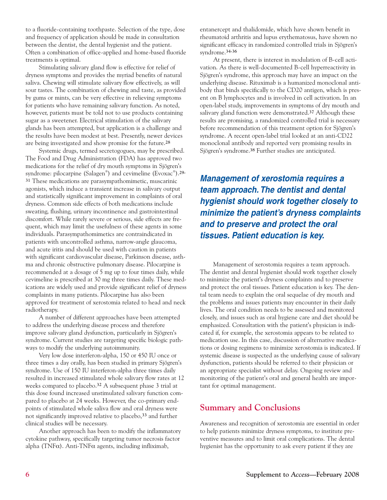to a fluoride-containing toothpaste. Selection of the type, dose and frequency of application should be made in consultation between the dentist, the dental hygienist and the patient. Often a combination of office-applied and home-based fluoride treatments is optimal.

Stimulating salivary gland flow is effective for relief of dryness symptoms and provides the myriad benefits of natural saliva. Chewing will stimulate salivary flow effectively, as will sour tastes. The combination of chewing and taste, as provided by gums or mints, can be very effective in relieving symptoms for patients who have remaining salivary function. As noted, however, patients must be told not to use products containing sugar as a sweetener. Electrical stimulation of the salivary glands has been attempted, but application is a challenge and the results have been modest at best. Presently, newer devices are being investigated and show promise for the future.**<sup>28</sup>**

Systemic drugs, termed secretogogues, may be prescribed. The Food and Drug Administration (FDA) has approved two medications for the relief of dry mouth symptoms in Sjögren's syndrome: pilocarpine (Salagen® ) and cevimeline (Evoxac® ).**29- <sup>31</sup>** These medications are parasympathomimetic, muscarinic agonists, which induce a transient increase in salivary output and statistically significant improvement in complaints of oral dryness. Common side effects of both medications include sweating, flushing, urinary incontinence and gastrointestinal discomfort. While rarely severe or serious, side effects are frequent, which may limit the usefulness of these agents in some individuals. Parasympathomimetics are contraindicated in patients with uncontrolled asthma, narrow-angle glaucoma, and acute iritis and should be used with caution in patients with significant cardiovascular disease, Parkinson disease, asthma and chronic obstructive pulmonary disease. Pilocarpine is recommended at a dosage of 5 mg up to four times daily, while cevimeline is prescribed at 30 mg three times daily. These medications are widely used and provide significant relief of dryness complaints in many patients. Pilocarpine has also been approved for treatment of xerostomia related to head and neck radiotherapy.

A number of different approaches have been attempted to address the underlying disease process and therefore improve salivary gland dysfunction, particularly in Sjögren's syndrome. Current studies are targeting specific biologic pathways to modify the underlying autoimmunity.

Very low dose interferon-alpha, 150 or 450 IU once or three times a day orally, has been studied in primary Sjögren's syndrome. Use of 150 IU interferon-alpha three times daily resulted in increased stimulated whole salivary flow rates at 12 weeks compared to placebo.**<sup>32</sup>** A subsequent phase 3 trial at this dose found increased unstimulated salivary function compared to placebo at 24 weeks. However, the co-primary endpoints of stimulated whole saliva flow and oral dryness were not significantly improved relative to placebo,**<sup>33</sup>** and further clinical studies will be necessary.

Another approach has been to modify the inflammatory cytokine pathway, specifically targeting tumor necrosis factor alpha (TNF $\alpha$ ). Anti-TNF $\alpha$  agents, including infliximab,

entanercept and thalidomide, which have shown benefit in rheumatoid arthritis and lupus erythematosus, have shown no significant efficacy in randomized controlled trials in Sjögren's syndrome.**34-36**

At present, there is interest in modulation of B-cell activation. As there is well-documented B-cell hyperreactivity in Sjögren's syndrome, this approach may have an impact on the underlying disease. Rituximab is a humanized monoclonal antibody that binds specifically to the CD20 antigen, which is present on B lymphocytes and is involved in cell activation. In an open-label study, improvements in symptoms of dry mouth and salivary gland function were demonstrated.**<sup>37</sup>** Although these results are promising, a randomized controlled trial is necessary before recommendation of this treatment option for Sjögren's syndrome. A recent open-label trial looked at an anti-CD22 monoclonal antibody and reported very promising results in Sjögren's syndrome.**<sup>38</sup>** Further studies are anticipated.

**Management of xerostomia requires a team approach. The dentist and dental hygienist should work together closely to minimize the patient's dryness complaints and to preserve and protect the oral tissues. Patient education is key.**

Management of xerostomia requires a team approach. The dentist and dental hygienist should work together closely to minimize the patient's dryness complaints and to preserve and protect the oral tissues. Patient education is key. The dental team needs to explain the oral sequelae of dry mouth and the problems and issues patients may encounter in their daily lives. The oral condition needs to be assessed and monitored closely, and issues such as oral hygiene care and diet should be emphasized. Consultation with the patient's physician is indicated if, for example, the xerostomia appears to be related to medication use. In this case, discussion of alternative medications or dosing regimens to minimize xerostomia is indicated. If systemic disease is suspected as the underlying cause of salivary dysfunction, patients should be referred to their physician or an appropriate specialist without delay. Ongoing review and monitoring of the patient's oral and general health are important for optimal management.

#### **Summary and Conclusions**

Awareness and recognition of xerostomia are essential in order to help patients minimize dryness symptoms, to institute preventive measures and to limit oral complications. The dental hygienist has the opportunity to ask every patient if they are